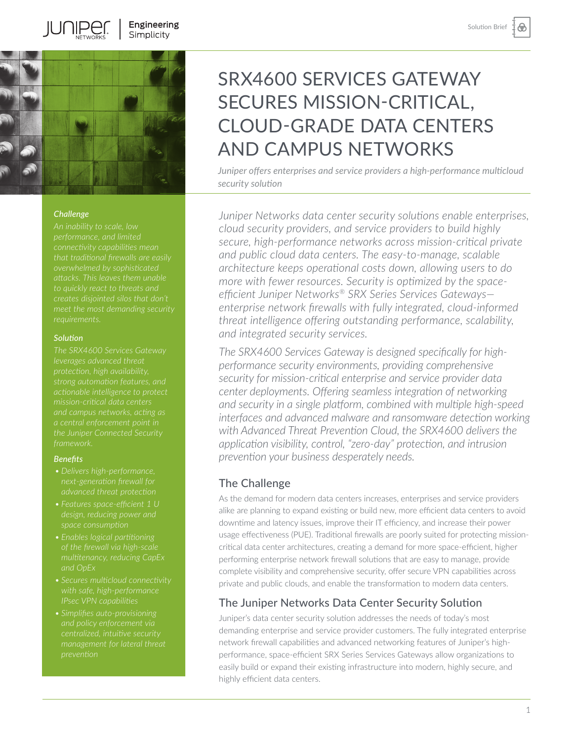⊛



**IUNIPEI** 

#### *Challenge*

*meet the most demanding security* 

## *Solution*

*The SRX4600 Services Gateway* 

#### *Benefits*

- *next-generation firewall for*
- 
- *multitenancy, reducing CapEx and OpEx*
- *IPsec VPN capabilities*
- *and policy enforcement via*

# SRX4600 SERVICES GATEWAY SECURES MISSION-CRITICAL, CLOUD-GRADE DATA CENTERS AND CAMPUS NETWORKS

*Juniper offers enterprises and service providers a high-performance multicloud security solution* 

*Juniper Networks data center security solutions enable enterprises, cloud security providers, and service providers to build highly secure, high-performance networks across mission-critical private and public cloud data centers. The easy-to-manage, scalable architecture keeps operational costs down, allowing users to do more with fewer resources. Security is optimized by the spaceefficient Juniper Networks® SRX Series Services Gateways enterprise network firewalls with fully integrated, cloud-informed threat intelligence offering outstanding performance, scalability, and integrated security services.* 

*The SRX4600 Services Gateway is designed specifically for highperformance security environments, providing comprehensive security for mission-critical enterprise and service provider data center deployments. Offering seamless integration of networking and security in a single platform, combined with multiple high-speed interfaces and advanced malware and ransomware detection working with Advanced Threat Prevention Cloud, the SRX4600 delivers the application visibility, control, "zero-day" protection, and intrusion prevention your business desperately needs.* 

# The Challenge

As the demand for modern data centers increases, enterprises and service providers alike are planning to expand existing or build new, more efficient data centers to avoid downtime and latency issues, improve their IT efficiency, and increase their power usage effectiveness (PUE). Traditional firewalls are poorly suited for protecting missioncritical data center architectures, creating a demand for more space-efficient, higher performing enterprise network firewall solutions that are easy to manage, provide complete visibility and comprehensive security, offer secure VPN capabilities across private and public clouds, and enable the transformation to modern data centers.

## The Juniper Networks Data Center Security Solution

Juniper's data center security solution addresses the needs of today's most demanding enterprise and service provider customers. The fully integrated enterprise network firewall capabilities and advanced networking features of Juniper's highperformance, space-efficient SRX Series Services Gateways allow organizations to easily build or expand their existing infrastructure into modern, highly secure, and highly efficient data centers.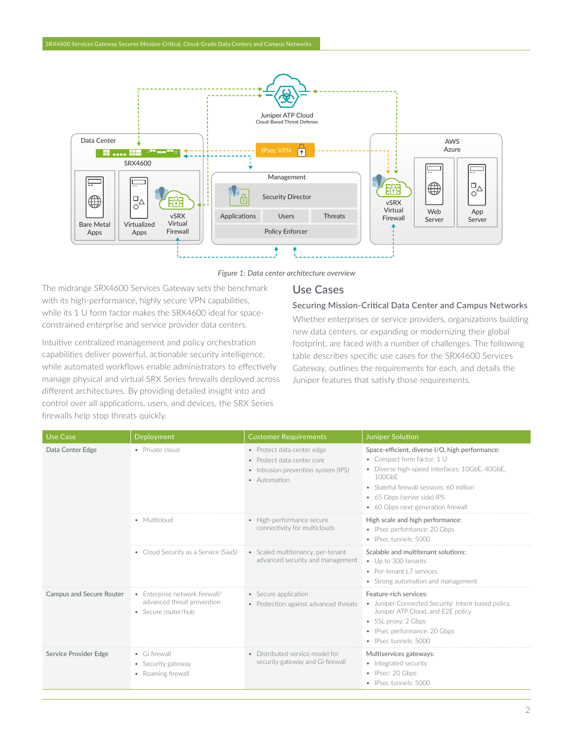

*Figure 1: Data center architecture overview*

The midrange SRX4600 Services Gateway sets the benchmark with its high-performance, highly secure VPN capabilities, while its 1 U form factor makes the SRX4600 ideal for spaceconstrained enterprise and service provider data centers.

Intuitive centralized management and policy orchestration capabilities deliver powerful, actionable security intelligence, while automated workflows enable administrators to effectively manage physical and virtual SRX Series firewalls deployed across different architectures. By providing detailed insight into and control over all applications, users, and devices, the SRX Series firewalls help stop threats quickly.

# Use Cases

## Securing Mission-Critical Data Center and Campus Networks

Whether enterprises or service providers, organizations building new data centers, or expanding or modernizing their global footprint, are faced with a number of challenges. The following table describes specific use cases for the SRX4600 Services Gateway, outlines the requirements for each, and details the Juniper features that satisfy those requirements.

| <b>Use Case</b>          | Deployment                                                                          | <b>Customer Requirements</b>                                                                                    | <b>Juniper Solution</b>                                                                                                                                                                                                                                    |
|--------------------------|-------------------------------------------------------------------------------------|-----------------------------------------------------------------------------------------------------------------|------------------------------------------------------------------------------------------------------------------------------------------------------------------------------------------------------------------------------------------------------------|
| Data Center Edge         | • Private cloud                                                                     | • Protect data center edge<br>· Protect data center core<br>• Intrusion prevention system (IPS)<br>• Automation | Space-efficient, diverse I/O, high performance:<br>• Compact form factor: 1 U<br>• Diverse high-speed interfaces: 10GbE, 40GbE,<br>100GbF<br>• Stateful firewall sessions: 60 million<br>• 65 Gbps (server side) IPS<br>• 60 Gbps next-generation firewall |
|                          | • Multicloud                                                                        | • High-performance secure<br>connectivity for multiclouds                                                       | High scale and high performance:<br>• IPsec performance: 20 Gbps<br>· IPsec tunnels: 5000                                                                                                                                                                  |
|                          | • Cloud Security as a Service (SaaS)                                                | • Scaled multitenancy, per-tenant<br>advanced security and management                                           | Scalable and multitenant solutions:<br>• Up to 300 tenants<br>• Per-tenant L7 services<br>• Strong automation and management                                                                                                                               |
| Campus and Secure Router | • Enterprise network firewall/<br>advanced threat prevention<br>· Secure router/hub | • Secure application<br>• Protection against advanced threats                                                   | Feature-rich services:<br>• Juniper Connected Security: Intent-based policy,<br>Juniper ATP Cloud, and E2E policy<br>• SSL proxy: 2 Gbps<br>• IPsec performance: 20 Gbps<br>• IPsec tunnels: 5000                                                          |
| Service Provider Edge    | • Gi firewall<br>• Security gateway<br>• Roaming firewall                           | • Distributed service model for<br>security gateway and Gi firewall                                             | Multiservices gateways:<br>• Integrated security<br>• IPsec: 20 Gbps<br>· IPsec tunnels: 5000                                                                                                                                                              |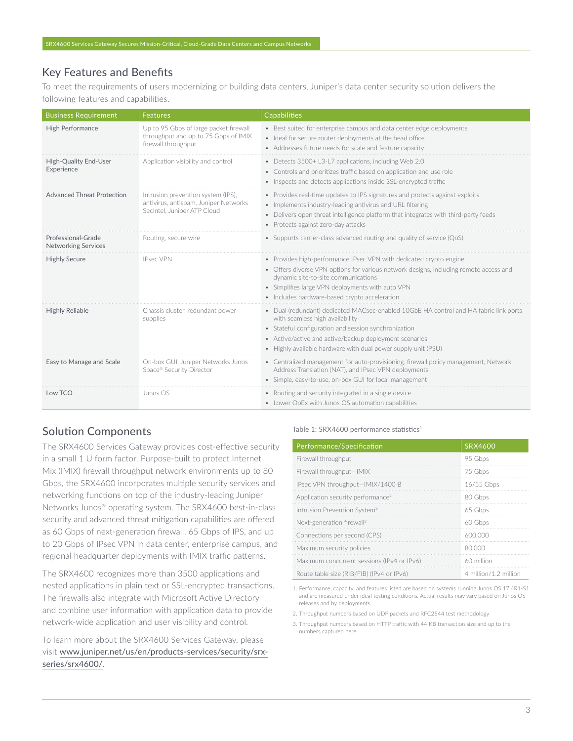# Key Features and Benefits

To meet the requirements of users modernizing or building data centers, Juniper's data center security solution delivers the following features and capabilities.

| <b>Business Requirement</b>                      | <b>Features</b>                                                                                            | <b>Capabilities</b>                                                                                                                                                                                                                                                                                       |
|--------------------------------------------------|------------------------------------------------------------------------------------------------------------|-----------------------------------------------------------------------------------------------------------------------------------------------------------------------------------------------------------------------------------------------------------------------------------------------------------|
| High Performance                                 | Up to 95 Gbps of large packet firewall<br>throughput and up to 75 Gbps of IMIX<br>firewall throughput      | • Best suited for enterprise campus and data center edge deployments<br>· Ideal for secure router deployments at the head office<br>• Addresses future needs for scale and feature capacity                                                                                                               |
| High-Quality End-User<br>Experience              | Application visibility and control                                                                         | • Detects 3500+ L3-L7 applications, including Web 2.0<br>• Controls and prioritizes traffic based on application and use role<br>• Inspects and detects applications inside SSL-encrypted traffic                                                                                                         |
| <b>Advanced Threat Protection</b>                | Intrusion prevention system (IPS),<br>antivirus, antispam, Juniper Networks<br>SecIntel, Juniper ATP Cloud | • Provides real-time updates to IPS signatures and protects against exploits<br>• Implements industry-leading antivirus and URL filtering<br>• Delivers open threat intelligence platform that integrates with third-party feeds<br>• Protects against zero-day attacks                                   |
| Professional-Grade<br><b>Networking Services</b> | Routing, secure wire                                                                                       | • Supports carrier-class advanced routing and quality of service (QoS)                                                                                                                                                                                                                                    |
| <b>Highly Secure</b>                             | <b>IPsec VPN</b>                                                                                           | • Provides high-performance IPsec VPN with dedicated crypto engine<br>• Offers diverse VPN options for various network designs, including remote access and<br>dynamic site-to-site communications<br>• Simplifies large VPN deployments with auto VPN<br>• Includes hardware-based crypto acceleration   |
| <b>Highly Reliable</b>                           | Chassis cluster, redundant power<br>supplies                                                               | • Dual (redundant) dedicated MACsec-enabled 10GbE HA control and HA fabric link ports<br>with seamless high availability<br>• Stateful configuration and session synchronization<br>• Active/active and active/backup deployment scenarios<br>Highly available hardware with dual power supply unit (PSU) |
| Easy to Manage and Scale                         | On-box GUI, Juniper Networks Junos<br>Space® Security Director                                             | • Centralized management for auto-provisioning, firewall policy management, Network<br>Address Translation (NAT), and IPsec VPN deployments<br>· Simple, easy-to-use, on-box GUI for local management                                                                                                     |
| Low TCO                                          | Junos OS                                                                                                   | • Routing and security integrated in a single device<br>• Lower OpEx with Junos OS automation capabilities                                                                                                                                                                                                |

# Solution Components

The SRX4600 Services Gateway provides cost-effective security in a small 1 U form factor. Purpose-built to protect Internet Mix (IMIX) firewall throughput network environments up to 80 Gbps, the SRX4600 incorporates multiple security services and networking functions on top of the industry-leading Juniper Networks Junos® operating system. The SRX4600 best-in-class security and advanced threat mitigation capabilities are offered as 60 Gbps of next-generation firewall, 65 Gbps of IPS, and up to 20 Gbps of IPsec VPN in data center, enterprise campus, and regional headquarter deployments with IMIX traffic patterns.

The SRX4600 recognizes more than 3500 applications and nested applications in plain text or SSL-encrypted transactions. The firewalls also integrate with Microsoft Active Directory and combine user information with application data to provide network-wide application and user visibility and control.

To learn more about the SRX4600 Services Gateway, please visit [www.juniper.net/us/en/products-services/security/srx](http://www.juniper.net/us/en/products-services/security/srx-series/srx4600/)[series/srx4600/](http://www.juniper.net/us/en/products-services/security/srx-series/srx4600/).

#### Table 1: SRX4600 performance statistics<sup>1</sup>

| Performance/Specification                     | SRX4600               |
|-----------------------------------------------|-----------------------|
| Firewall throughput                           | 95 Gbps               |
| Firewall throughput-IMIX                      | 75 Gbps               |
| IPsec VPN throughput-IMIX/1400 B              | 16/55 Gbps            |
| Application security performance <sup>2</sup> | 80 Gbps               |
| Intrusion Prevention System <sup>3</sup>      | 65 Gbps               |
| Next-generation firewall <sup>3</sup>         | 60 Gbps               |
| Connections per second (CPS)                  | 600,000               |
| Maximum security policies                     | 80,000                |
| Maximum concurrent sessions (IPv4 or IPv6)    | 60 million            |
| Route table size (RIB/FIB) (IPv4 or IPv6)     | 4 million/1.2 million |

1. Performance, capacity, and features listed are based on systems running Junos OS 17.4R1-S1 and are measured under ideal testing conditions. Actual results may vary based on Junos OS releases and by deployments.

2. Throughput numbers based on UDP packets and RFC2544 test methodology

3. Throughput numbers based on HTTP traffic with 44 KB transaction size and up to the numbers captured here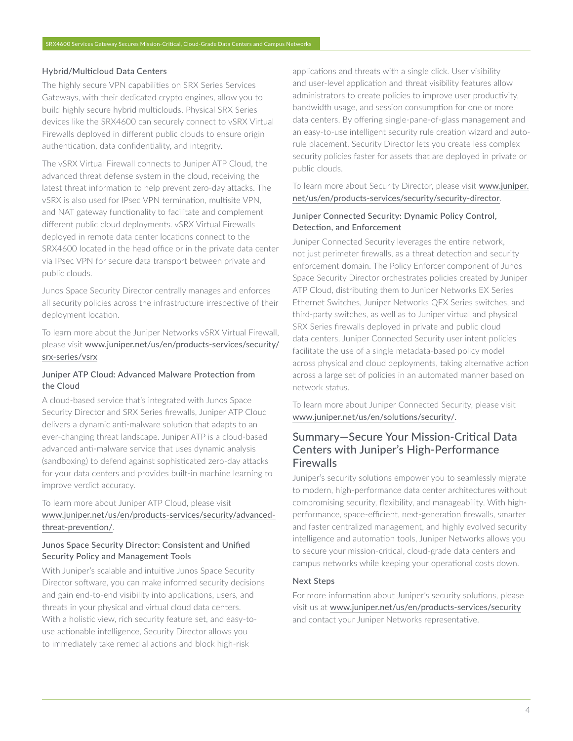#### Hybrid/Multicloud Data Centers

The highly secure VPN capabilities on SRX Series Services Gateways, with their dedicated crypto engines, allow you to build highly secure hybrid multiclouds. Physical SRX Series devices like the SRX4600 can securely connect to vSRX Virtual Firewalls deployed in different public clouds to ensure origin authentication, data confidentiality, and integrity.

The vSRX Virtual Firewall connects to Juniper ATP Cloud, the advanced threat defense system in the cloud, receiving the latest threat information to help prevent zero-day attacks. The vSRX is also used for IPsec VPN termination, multisite VPN, and NAT gateway functionality to facilitate and complement different public cloud deployments. vSRX Virtual Firewalls deployed in remote data center locations connect to the SRX4600 located in the head office or in the private data center via IPsec VPN for secure data transport between private and public clouds.

Junos Space Security Director centrally manages and enforces all security policies across the infrastructure irrespective of their deployment location.

To learn more about the Juniper Networks vSRX Virtual Firewall, please visit [www.juniper.net/us/en/products-services/security/](http://www.juniper.net/us/en/products-services/security/srx-series/vsrx) [srx-series/vsrx](http://www.juniper.net/us/en/products-services/security/srx-series/vsrx)

## Juniper ATP Cloud: Advanced Malware Protection from the Cloud

A cloud-based service that's integrated with Junos Space Security Director and SRX Series firewalls, Juniper ATP Cloud delivers a dynamic anti-malware solution that adapts to an ever-changing threat landscape. Juniper ATP is a cloud-based advanced anti-malware service that uses dynamic analysis (sandboxing) to defend against sophisticated zero-day attacks for your data centers and provides built-in machine learning to improve verdict accuracy.

To learn more about Juniper ATP Cloud, please visit [www.juniper.net/us/en/products-services/security/advanced](http://www.juniper.net/us/en/products-services/security/advanced-threat-prevention/)[threat-prevention/](http://www.juniper.net/us/en/products-services/security/advanced-threat-prevention/).

## Junos Space Security Director: Consistent and Unified Security Policy and Management Tools

With Juniper's scalable and intuitive Junos Space Security Director software, you can make informed security decisions and gain end-to-end visibility into applications, users, and threats in your physical and virtual cloud data centers. With a holistic view, rich security feature set, and easy-touse actionable intelligence, Security Director allows you to immediately take remedial actions and block high-risk

applications and threats with a single click. User visibility and user-level application and threat visibility features allow administrators to create policies to improve user productivity, bandwidth usage, and session consumption for one or more data centers. By offering single-pane-of-glass management and an easy-to-use intelligent security rule creation wizard and autorule placement, Security Director lets you create less complex security policies faster for assets that are deployed in private or public clouds.

## To learn more about Security Director, please visit [www.juniper.](http://www.juniper.net/us/en/products-services/security/security-director) [net/us/en/products-services/security/security-director](http://www.juniper.net/us/en/products-services/security/security-director).

## Juniper Connected Security: Dynamic Policy Control, Detection, and Enforcement

Juniper Connected Security leverages the entire network, not just perimeter firewalls, as a threat detection and security enforcement domain. The Policy Enforcer component of Junos Space Security Director orchestrates policies created by Juniper ATP Cloud, distributing them to Juniper Networks EX Series Ethernet Switches, Juniper Networks QFX Series switches, and third-party switches, as well as to Juniper virtual and physical SRX Series firewalls deployed in private and public cloud data centers. Juniper Connected Security user intent policies facilitate the use of a single metadata-based policy model across physical and cloud deployments, taking alternative action across a large set of policies in an automated manner based on network status.

To learn more about Juniper Connected Security, please visit [www.juniper.net/us/en/solutions/security/](https://www.juniper.net/us/en/solutions/security/).

# Summary—Secure Your Mission-Critical Data Centers with Juniper's High-Performance **Firewalls**

Juniper's security solutions empower you to seamlessly migrate to modern, high-performance data center architectures without compromising security, flexibility, and manageability. With highperformance, space-efficient, next-generation firewalls, smarter and faster centralized management, and highly evolved security intelligence and automation tools, Juniper Networks allows you to secure your mission-critical, cloud-grade data centers and campus networks while keeping your operational costs down.

### Next Steps

For more information about Juniper's security solutions, please visit us at [www.juniper.net/us/en/products-services/security](http://www.juniper.net/us/en/products-services/security) and contact your Juniper Networks representative.